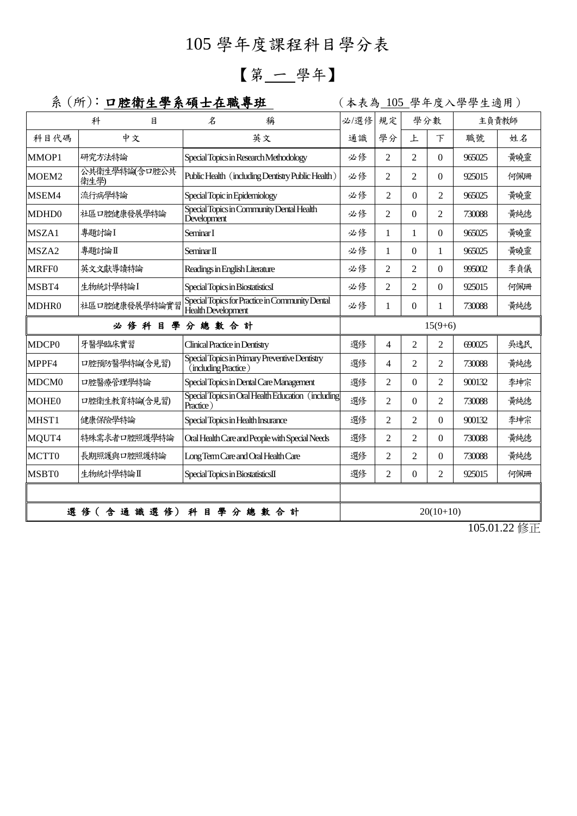## 105 學年度課程科目學分表

## 【第 一 學年】

## 系 (所): 口腔衛生學系碩士在職專班 | (本表為 105 學年度入學學生適用)

|                   | 科<br>月                | $\mathcal{Z}$<br>稱                                                     | 必/選修                                   | 規定             | 學分數            |                          | 主負責教師  |     |
|-------------------|-----------------------|------------------------------------------------------------------------|----------------------------------------|----------------|----------------|--------------------------|--------|-----|
| 科目代碼              | 中文                    | 英文                                                                     | 通識                                     | 學分             | 上              | 下                        | 職號     | 姓名  |
| MMOP1             | 研究方法特論                | Special Topics in Research Methodology                                 | 必修                                     | 2              | $\overline{c}$ | $\overline{0}$           | 965025 | 黃曉靈 |
| MOEM2             | 公共衛生學特論(含口腔公共<br>衛生學) | Public Health (including Dentistry Public Health)                      | 必修                                     | $\overline{2}$ | $\overline{2}$ | $\Omega$                 | 925015 | 何佩珊 |
| MSEM4             | 流行病學特論                | Special Topic in Epidemiology                                          | 必修                                     | 2              | $\Omega$       | $\overline{c}$           | 965025 | 黃曉靈 |
| MDHD0             | 社區口腔健康發展學特論           | Special Topics in Community Dental Health<br>Development               | 必修                                     | 2              | $\theta$       | $\overline{2}$           | 730088 | 黄純德 |
| MSZA1             | 專題討論I                 | Seminar I                                                              | 必修                                     | 1              | $\mathbf{1}$   | $\overline{0}$           | 965025 | 黃曉靈 |
| MSZA2             | 專題討論Ⅱ                 | Seminar <sub>II</sub>                                                  | 必修                                     | 1              | $\theta$       | 1                        | 965025 | 黃曉靈 |
| <b>MRFF0</b>      | 英文文獻導讀特論              | Readings in English Literature                                         | 必修                                     | 2              | $\overline{c}$ | $\overline{0}$           | 995002 | 李貞儀 |
| MSBT4             | 生物統計學特論I              | Special Topics in BiostatisticsI                                       | 必修                                     | $\overline{2}$ | $\overline{2}$ | $\Omega$                 | 925015 | 何佩珊 |
| MDHR0             | 社區口腔健康發展學特論實習         | Special Topics for Practice in Community Dental<br>Health Development  | 必修                                     | 1              | $\theta$       | 1                        | 730088 | 黃純德 |
| 必修科目學分總數合計        |                       |                                                                        | $15(9+6)$                              |                |                |                          |        |     |
| MDCP <sub>0</sub> | 牙醫學臨床實習               | <b>Clinical Practice in Dentistry</b>                                  | 選修                                     | $\overline{4}$ | $\overline{2}$ | 2                        | 690025 | 吳逸民 |
| MPPF4             | 口腔預防醫學特論(含見習)         | Special Topics in Primary Preventive Dentistry<br>(including Practice) | 選修                                     | $\overline{4}$ | $\overline{c}$ | $\overline{2}$           | 730088 | 黃純德 |
| MDCM <sub>0</sub> | 口腔醫療管理學特論             | Special Topics in Dental Care Management                               | 選修                                     | $\mathfrak{D}$ | $\Omega$       | $\overline{\mathcal{L}}$ | 900132 | 李坤宗 |
| <b>MOHE0</b>      | 口腔衛生教育特論(含見習)         | Special Topics in Oral Health Education (including<br>Practice)        | 選修                                     | $\overline{2}$ | $\theta$       | $\overline{2}$           | 730088 | 黄純德 |
| MHST1             | 健康保險學特論               | Special Topics in Health Insurance                                     | 選修                                     | $\mathfrak{D}$ | $\overline{2}$ | $\Omega$                 | 900132 | 李坤宗 |
| MQUT4             | 特殊需求者口腔照護學特論          | Oral Health Care and People with Special Needs                         | 選修                                     | $\overline{2}$ | $\overline{2}$ | $\mathbf{0}$             | 730088 | 黃純德 |
| MCTT0             | 長期照護與口腔照護特論           | Long Term Care and Oral Health Care                                    | 選修                                     | $\overline{2}$ | $\overline{2}$ | $\mathbf{0}$             | 730088 | 黃純德 |
| MSBT0             | 生物統計學特論II             | Special Topics in BiostatisticsII                                      | 選修                                     | $\mathfrak{D}$ | $\Omega$       | $\overline{c}$           | 925015 | 何佩珊 |
|                   |                       |                                                                        |                                        |                |                |                          |        |     |
|                   | 選修(含通識選修)             | 科目學分總數合計                                                               | $20(10+10)$<br>$105.01.00 \text{ kHz}$ |                |                |                          |        |     |

105.01.22 修正